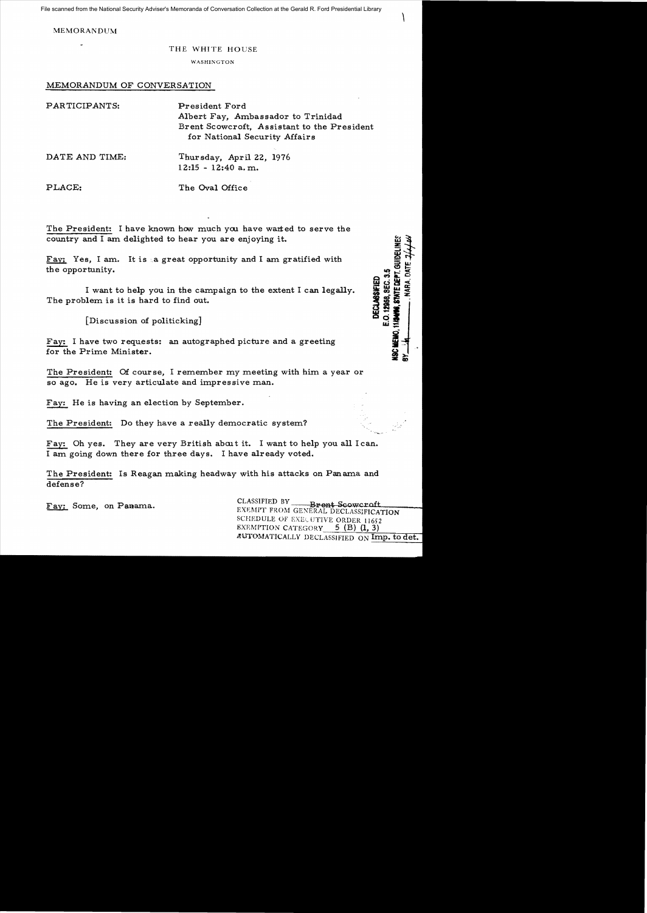File scanned from the National Security Adviser's Memoranda of Conversation Collection at the Gerald R. Ford Presidential Library

MEMORANDUM

THE WHITE HOUSE

WASHINGTON

## MEMORANDUM OF CONVERSATION

| PARTICIPANTS:  | President Ford<br>Albert Fay, Ambassador to Trinidad<br>Brent Scowcroft, Assistant to the President<br>for National Security Affairs |
|----------------|--------------------------------------------------------------------------------------------------------------------------------------|
| DATE AND TIME: | Thursday, April 22, 1976<br>$12:15 - 12:40$ a.m.                                                                                     |

PLACE: The Oval Office

The President: I have known how much you have warted to serve the country and I am delighted to hear you are enjoying it.

Fay: Yes, I am. It is a great opportunity and I am gratified with the opportunity.

I want to help you in the campaign to the extent I can legally. The problem is it is hard to find out.

[Discussion of politicking]

Fay: I have two requests: an autographed picture and a greeting for the Prime Minister.

The President: Of course, I remember my meeting with him a year or so ago. He is very articulate and impressive man.

Fax: He is having an election by September.

The President: Do they have a really democratic system?

Fay: Oh yes. They are very British about it. I want to help you all I can. I am going down there for three days. I have already voted.

The President: Is Reagan making headway with his attacks on Panama and defense?

Fay: Some, on Panama. CLASSIFIED BY Brent Scowcroft SCHEDULE OF EXECUTIVE ORDER 11652 EXEMPTION CATEGORY  $5$  (B) (1, 3) AUTOMATICALLY DECLASSIFIED ON Imp. to det.

 $\begin{matrix} \end{matrix}$ 

11/24/08, STATE DEPT. QUIDELINES

E.O. 12968, SEC. 3.5 **DECLASSIFIED**